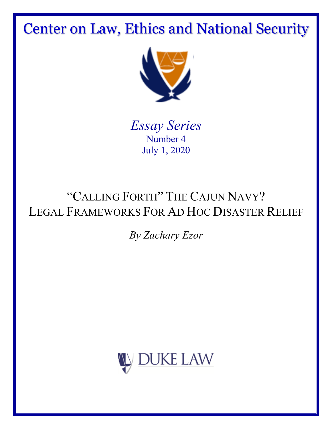Center on Law, Ethics and National Security



*Essay Series* Number 4 July 1, 2020

# "CALLING FORTH" THE CAJUN NAVY? LEGAL FRAMEWORKS FOR AD HOC DISASTER RELIEF

## *By Zachary Ezor*

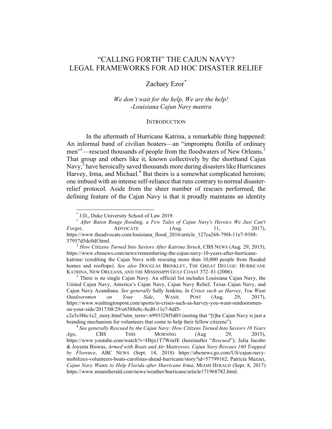### "CALLING FORTH" THE CAJUN NAVY? LEGAL FRAMEWORKS FOR AD HOC DISASTER RELIEF

#### Zachary Ezor*\**

#### *We don't wait for the help, We are the help! -Louisiana Cajun Navy mantra*

#### **INTRODUCTION**

In the aftermath of Hurricane Katrina, a remarkable thing happened: An informal band of civilian boaters—an "impromptu flotilla of ordinary men"<sup>1</sup>—rescued thousands of people from the floodwaters of New Orleans.<sup>2</sup> That group and others like it, known collectively by the shorthand Cajun Navy,<sup>3</sup> have heroically saved thousands more during disasters like Hurricanes Harvey, Irma, and Michael. $4$  But theirs is a somewhat complicated heroism; one imbued with an intense self-reliance that runs contrary to normal disasterrelief protocol. Aside from the sheer number of rescues performed, the defining feature of the Cajun Navy is that it proudly maintains an identity

<sup>&</sup>lt;sup>\*</sup> J.D., Duke University School of Law 2019.<br><sup>1</sup> *After Baton Rouge flooding, a Few Tales of Cajun Navy's Heroics We Just Can't Forget*, ADVOCATE (Aug. 11, 2017), https://www.theadvocate.com/louisiana\_flood\_2016/article\_127ca268-79f4-11e7-9388-37957d5dc0df.html. 2 *How Citizens Turned Into Saviors After Katrina Struck*, CBS NEWS (Aug. 29, 2015),

https://www.cbsnews.com/news/remembering-the-cajun-navy-10-years-after-hurricanekatrina/ (crediting the Cajun Navy with rescuing more than 10,000 people from flooded homes and rooftops). *See also* DOUGLAS BRINKLEY, THE GREAT DELUGE: HURRICANE KATRINA, NEW ORLEANS, AND THE MISSISSIPPI GULF COAST 372–81 (2006).<br><sup>3</sup> There is no single Cajun Navy. An official list includes Louisiana Cajun Navy, the

United Cajun Navy, America's Cajun Navy, Cajun Navy Relief, Texas Cajun Navy, and Cajun Navy Acandiana. *See generally* Sally Jenkins, *In Crises such as Harvey, You Want Outdoorsmen on Your Side*, WASH. POST (Aug. 29, 2017), https://www.washingtonpost.com/sports/in-crises-such-as-harvey-you-want-outdoorsmenon-your-side/2017/08/29/e6588e8c-8cd0-11e7-8df5-

c2e5cf46c1e2\_story.html?utm\_term=.6993328f5d03 (noting that "[t]he Cajun Navy is just a branding mechanism for volunteers that come to help their fellow citizens"). <sup>4</sup> *See generally Rescued by the Cajun Navy: How Citizens Turned Into Saviors 10 Years* 

*Ago*, CBS THIS MORNING (Aug 29, 2015), https://www.youtube.com/watch?v=Hbjx1T7WmJE (hereinafter "*Rescued*"); Julia Jacobo & Joyeeta Biswas, *Armed with Boats and Air Mattresses, Cajun Navy Rescues 160 Trapped by Florence*, ABC NEWS (Sept. 14, 2018) https://abcnews.go.com/US/cajun-navymobilizes-volunteers-boats-carolinas-ahead-hurricane/story?id=57799162; Patricia Mazzei, *Cajun Navy Wants to Help Florida after Hurricane Irma*, MIAMI HERALD (Sept. 8, 2017) https://www.miamiherald.com/news/weather/hurricane/article171968782.html.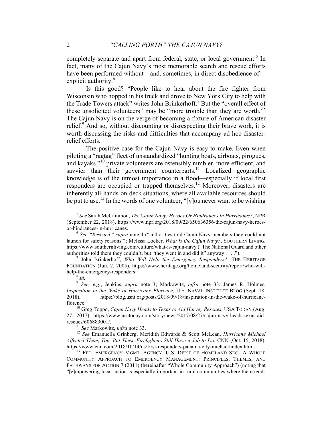completely separate and apart from federal, state, or local government.<sup>5</sup> In fact, many of the Cajun Navy's most memorable search and rescue efforts have been performed without—and, sometimes, in direct disobedience of explicit authority.<sup>6</sup>

Is this good? "People like to hear about the fire fighter from Wisconsin who hopped in his truck and drove to New York City to help with the Trade Towers attack" writes John Brinkerhoff. <sup>7</sup> But the "overall effect of these unsolicited volunteers" may be "more trouble than they are worth."<sup>8</sup> The Cajun Navy is on the verge of becoming a fixture of American disaster relief.<sup>9</sup> And so, without discounting or disrespecting their brave work, it is worth discussing the risks and difficulties that accompany ad hoc disasterrelief efforts.

The positive case for the Cajun Navy is easy to make. Even when piloting a "ragtag" fleet of unstandardized "hunting boats, airboats, pirogues, and kayaks,"<sup>10</sup> private volunteers are ostensibly nimbler, more efficient, and savvier than their government counterparts.<sup>11</sup> Localized geographic knowledge is of the utmost importance in a flood—especially if local first responders are occupied or trapped themselves.<sup>12</sup> Moreover, disasters are inherently all-hands-on-deck situations, where all available resources should be put to use.<sup>13</sup> In the words of one volunteer, "[y]ou never want to be wishing

 <sup>5</sup> *See* Sarah McCammon, *The Cajun Navy: Heroes Or Hindrances In Hurricanes?*, NPR (September 22, 2018), https://www.npr.org/2018/09/22/650636356/the-cajun-navy-heroesor-hindrances-in-hurricanes. <sup>6</sup> *See "Rescued*," *supra* note 4 ("authorities told Cajun Navy members they could not

launch for safety reasons"); Melissa Locker, *What is the Cajun Navy?*, SOUTHERN LIVING, https://www.southernliving.com/culture/what-is-cajun-navy ("The National Guard and other authorities told them they couldn't, but "they went in and did it" anyway . . . ."). <sup>7</sup> John Brinkerhoff, *Who Will Help the Emergency Responders?*, THE HERITAGE

FOUNDATION (Jun. 2, 2005), https://www.heritage.org/homeland-security/report/who-willhelp-the-emergency-responders. <sup>8</sup> *Id.*

<sup>9</sup> *See, e.g.*, Jenkins, *supra* note 3; Markowitz, *infra* note 33; James R. Holmes, *Inspiration in the Wake of Hurricane Florence*, U.S. NAVAL INSTITUTE BLOG (Sept. 18, 2018), https://blog.usni.org/posts/2018/09/18/inspiration-in-the-wake-of-hurricaneflorence. <sup>10</sup> Greg Toppo, *Cajun Navy Heads to Texas to Aid Harvey Rescues*, USA TODAY (Aug.

<sup>27, 2017),</sup> https://www.usatoday.com/story/news/2017/08/27/cajun-navy-heads-texas-aidrescues/606883001/. <sup>11</sup> *See* Markowitz, *infra* note 33. <sup>12</sup> *See* Emanuella Grinberg, Meridith Edwards & Scott McLean, *Hurricane Michael* 

*Affected Them, Too, But These Firefighters Still Have a Job to Do*, CNN (Oct. 15, 2018), https://www.cnn.com/2018/10/14/us/first-responders-panama-city-michael/index.html. <sup>13</sup> FED. EMERGENCY MGMT. AGENCY, U.S. DEP'T OF HOMELAND SEC., <sup>A</sup> WHOLE

COMMUNITY APPROACH TO EMERGENCY MANAGEMENT: PRINCIPLES, THEMES, AND PATHWAYS FOR ACTION 7 (2011) (hereinafter "Whole Community Approach") (noting that "[e]mpowering local action is especially important in rural communities where there tends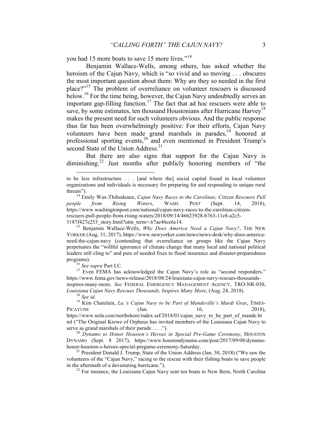you had 15 more boats to save 15 more lives."<sup>14</sup>

Benjamin Wallace-Wells, among others, has asked whether the heroism of the Cajun Navy, which is "so vivid and so moving . . . obscures the most important question about them: Why are they so needed in the first place?" <sup>15</sup> The problem of overreliance on volunteer rescuers is discussed below.<sup>16</sup> For the time being, however, the Cajun Navy undoubtedly serves an important gap-filling function.<sup>17</sup> The fact that ad hoc rescuers were able to save, by some estimates, ten thousand Houstonians after Hurricane Harvey<sup>18</sup> makes the present need for such volunteers obvious. And the public response thus far has been overwhelmingly positive: For their efforts, Cajun Navy volunteers have been made grand marshals in parades,<sup>19</sup> honored at professional sporting events,<sup>20</sup> and even mentioned in President Trump's second State of the Union Address.<sup>21</sup>

But there are also signs that support for the Cajun Navy is diminishing.<sup>22</sup> Just months after publicly honoring members of "the

1

programs).<br><sup>16</sup> *See supra* Part I.C.<br><sup>17</sup> Even FEMA has acknowledged the Cajun Navy's role as "second responders." https://www.fema.gov/news-release/2018/08/24/louisiana-cajun-navy-rescues-thousandsinspires-many-more. *See* FEDERAL EMERGENCY MANAGEMENT AGENCY, TRO-NR-030, *Louisiana Cajun Navy Rescues Thousands, Inspires Many More*, (Aug. 24, 2018).<br><sup>18</sup> *See id.* 19 Kim Chatelain, *La.'s Cajun Navy to be Part of Mandeville's Mardi Gras*, TIMES-

PICAYUNE  $(Jan. 16, 2018)$ , https://www.nola.com/northshore/index.ssf/2018/01/cajun\_navy\_to\_be\_part\_of\_mande.ht ml ("The Original Krewe of Orpheus has invited members of the Louisiana Cajun Navy to

serve as grand marshals of their parade . . . ."). <sup>20</sup> *Dynamo to Honor Houston's Heroes in Special Pre-Game Ceremony*, HOUSTON DYNAMO (Sept. 8 2017), https://www.houstondynamo.com/post/2017/09/08/dynamohonor-houston-s-heroes-special-pregame-ceremony-Saturday.<br><sup>21</sup> President Donald J. Trump, State of the Union Address (Jan. 30, 2018) ("We saw the

volunteers of the "Cajun Navy," racing to the rescue with their fishing boats to save people in the aftermath of a devastating hurricane.").<br><sup>22</sup> For instance, the Louisiana Cajun Navy sent ten boats to New Bern, North Carolina

to be less infrastructure . . . [and where the] social capital found in local volunteer organizations and individuals is necessary for preparing for and responding to unique rural threats"). <sup>14</sup> Emily Wax-Thibodeaux, *Cajun Navy Races to the Carolinas; Citizen Rescuers Pull* 

*people from Rising Waters*, WASH. POST (Sept. 14, 2018), https://www.washingtonpost.com/national/cajun-navy-races-to-the-carolinas-citizenrescuers-pull-people-from-rising-waters/2018/09/14/46623928-b763-11e8-a2c5- 3187f427e253\_story.html?utm\_term=.67ae46ce6c14. <sup>15</sup> Benjamin Wallace-Wells, *Why Does America Need a Cajun Navy?*, THE NEW

YORKER (Aug. 31, 2017), https://www.newyorker.com/news/news-desk/why-does-americaneed-the-cajun-navy (contending that overreliance on groups like the Cajun Navy perpetuates the "willful ignorance of climate change that many local and national political leaders still cling to" and puts of needed fixes to flood insurance and disaster-preparedness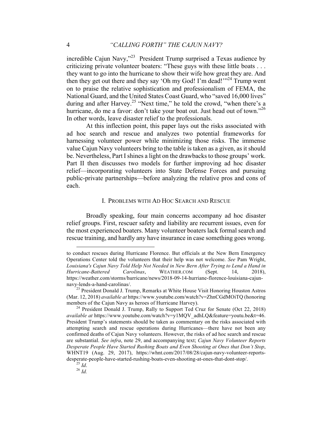incredible Cajun Navy,"<sup>23</sup> President Trump surprised a Texas audience by criticizing private volunteer boaters: "These guys with these little boats . . . they want to go into the hurricane to show their wife how great they are. And then they get out there and they say 'Oh my God! I'm dead!"<sup>24</sup> Trump went on to praise the relative sophistication and professionalism of FEMA, the National Guard, and the United States Coast Guard, who "saved 16,000 lives" during and after Harvey.<sup>25</sup> "Next time," he told the crowd, "when there's a hurricane, do me a favor: don't take your boat out. Just head out of town."<sup>26</sup> In other words, leave disaster relief to the professionals.

At this inflection point, this paper lays out the risks associated with ad hoc search and rescue and analyzes two potential frameworks for harnessing volunteer power while minimizing those risks. The immense value Cajun Navy volunteers bring to the table is taken as a given, as it should be. Nevertheless, Part I shines a light on the drawbacks to those groups' work. Part II then discusses two models for further improving ad hoc disaster relief—incorporating volunteers into State Defense Forces and pursuing public-private partnerships—before analyzing the relative pros and cons of each.

#### I. PROBLEMS WITH AD HOC SEARCH AND RESCUE

Broadly speaking, four main concerns accompany ad hoc disaster relief groups. First, rescuer safety and liability are recurrent issues, even for the most experienced boaters. Many volunteer boaters lack formal search and rescue training, and hardly any have insurance in case something goes wrong.

to conduct rescues during Hurricane Florence. But officials at the New Bern Emergency Operations Center told the volunteers that their help was not welcome. *See* Pam Wright, *Louisiana's Cajun Navy Told Help Not Needed in New Bern After Trying to Lend a Hand in Hurricane-Battered Carolinas*, WEATHER.COM (Sept. 14, 2018), https://weather.com/storms/hurricane/news/2018-09-14-hurriane-florence-louisiana-cajunnavy-lends-a-hand-carolinas/. <sup>23</sup> President Donald J. Trump, Remarks at White House Visit Honoring Houston Astros

<sup>(</sup>Mar. 12, 2018) *available at* https://www.youtube.com/watch?v=ZhnCGdMOiTQ (honoring members of the Cajun Navy as heroes of Hurricane Harvey).<br><sup>24</sup> President Donald J. Trump, Rally to Support Ted Cruz for Senate (Oct 22, 2018)

*available at* https://www.youtube.com/watch?v=y1MQV\_adhLQ&feature=youtu.be&t=46. President Trump's statements should be taken as commentary on the risks associated with attempting search and rescue operations during Hurricanes—there have not been any confirmed deaths of Cajun Navy volunteers. However, the risks of ad hoc search and rescue are substantial. *See infra*, note 29, and accompanying text; *Cajun Navy Volunteer Reports Desperate People Have Started Rushing Boats and Even Shooting at Ones that Don't Stop*, WHNT19 (Aug. 29, 2017), https://whnt.com/2017/08/28/cajun-navy-volunteer-reportsdesperate-people-have-started-rushing-boats-even-shooting-at-ones-that-dont-stop/. <sup>25</sup> *Id*. <sup>26</sup> *Id.*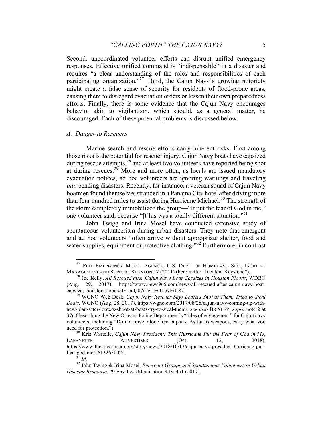Second, uncoordinated volunteer efforts can disrupt unified emergency responses. Effective unified command is "indispensable" in a disaster and requires "a clear understanding of the roles and responsibilities of each participating organization."<sup>27</sup> Third, the Cajun Navy's growing notoriety might create a false sense of security for residents of flood-prone areas, causing them to disregard evacuation orders or lessen their own preparedness efforts. Finally, there is some evidence that the Cajun Navy encourages behavior akin to vigilantism, which should, as a general matter, be discouraged. Each of these potential problems is discussed below.

#### *A. Danger to Rescuers*

Marine search and rescue efforts carry inherent risks. First among those risks is the potential for rescuer injury. Cajun Navy boats have capsized during rescue attempts,<sup>28</sup> and at least two volunteers have reported being shot at during rescues.<sup>29</sup> More and more often, as locals are issued mandatory evacuation notices, ad hoc volunteers are ignoring warnings and traveling *into* pending disasters. Recently, for instance, a veteran squad of Cajun Navy boatmen found themselves stranded in a Panama City hotel after driving more than four hundred miles to assist during Hurricane Michael.<sup>30</sup> The strength of the storm completely immobilized the group—"It put the fear of God in me," one volunteer said, because "[t]his was a totally different situation."<sup>31</sup>

John Twigg and Irina Mosel have conducted extensive study of spontaneous volunteerism during urban disasters. They note that emergent and ad hoc volunteers "often arrive without appropriate shelter, food and water supplies, equipment or protective clothing."<sup>32</sup> Furthermore, in contrast

<sup>&</sup>lt;sup>27</sup> FED. EMERGENCY MGMT. AGENCY, U.S. DEP'T OF HOMELAND SEC., INCIDENT MANAGEMENT AND SUPPORT KEYSTONE 7 (2011) (hereinafter "Incident Keystone").

<sup>&</sup>lt;sup>28</sup> Joe Kelly, *All Rescued after Cajun Navy Boat Capsizes in Houston Floods*, WDBO (Aug. 29, 2017), https://www.news965.com/news/all-rescued-after-cajun-navy-boatcapsizes-houston-floods/0FLniQ07r2gfIEOTbvErLK/. <sup>29</sup> WGNO Web Desk, *Cajun Navy Rescuer Says Looters Shot at Them, Tried to Steal* 

*Boats*, WGNO (Aug. 28, 2017), https://wgno.com/2017/08/28/cajun-navy-coming-up-withnew-plan-after-looters-shoot-at-boats-try-to-steal-them/; *see also* BRINLEY, *supra* note 2 at 376 (describing the New Orleans Police Department's "rules of engagement" for Cajun navy volunteers, including "Do not travel alone. Go in pairs. As far as weapons, carry what you need for protection.")<br><sup>30</sup> Kris Wartelle, *Cajun Navy President: This Hurricane Put the Fear of God in Me*,

LAFAYETTE ADVERTISER (Oct. 12, 2018), https://www.theadvertiser.com/story/news/2018/10/12/cajun-navy-president-hurricane-put-<br>fear-god-me/1613265002/.<br> $\frac{31}{11}$ 

<sup>&</sup>lt;sup>32</sup> John Twigg & Irina Mosel, *Emergent Groups and Spontaneous Volunteers in Urban Disaster Response*, 29 Env't & Urbanization 443, 451 (2017).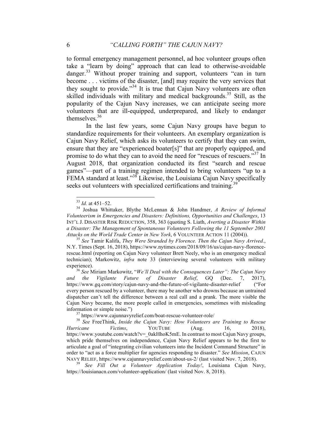to formal emergency management personnel, ad hoc volunteer groups often take a "learn by doing" approach that can lead to otherwise-avoidable danger.<sup>33</sup> Without proper training and support, volunteers "can in turn become . . . victims of the disaster, [and] may require the very services that they sought to provide."<sup>34</sup> It is true that Cajun Navy volunteers are often skilled individuals with military and medical backgrounds.<sup>35</sup> Still, as the popularity of the Cajun Navy increases, we can anticipate seeing more volunteers that are ill-equipped, underprepared, and likely to endanger themselves. $36$ 

In the last few years, some Cajun Navy groups have begun to standardize requirements for their volunteers. An exemplary organization is Cajun Navy Relief, which asks its volunteers to certify that they can swim, ensure that they are "experienced boater[s]" that are properly equipped, and promise to do what they can to avoid the need for "rescues of rescuers."<sup>37</sup> In August 2018, that organization conducted its first "search and rescue games"—part of a training regimen intended to bring volunteers "up to a FEMA standard at least."<sup>38</sup> Likewise, the Louisiana Cajun Navy specifically seeks out volunteers with specialized certifications and training.<sup>3</sup>

N.Y. Times (Sept. 16, 2018), https://www.nytimes.com/2018/09/16/us/cajun-navy-florencerescue.html (reporting on Cajun Navy volunteer Brett Neely, who is an emergency medical technician); Markowitz, *infra* note 33 (interviewing several volunteers with military experience). <sup>36</sup> *See* Miriam Markowitz, "*We'll Deal with the Consequences Later": The Cajun Navy* 

*and the Vigilante Future of Disaster Relief*, GQ (Dec. 7, 2017), https://www.gq.com/story/cajun-navy-and-the-future-of-vigilante-disaster-relief ("For every person rescued by a volunteer, there may be another who drowns because an untrained dispatcher can't tell the difference between a real call and a prank. The more visible the Cajun Navy became, the more people called in emergencies, sometimes with misleading information or simple noise.") <sup>37</sup> https://www.cajunnavyrelief.com/boat-rescue-volunteer-role/ <sup>38</sup> *See* FreeThink, *Inside the Cajun Navy: How Volunteers are Training to Rescue* 

https://louisianacn.com/volunteer-application/ (last visited Nov. 8, 2018).

<sup>33</sup> *Id.* at 451–52. <sup>34</sup> Joshua Whittaker, Blythe McLennan & John Handmer, *A Review of Informal Volunteerism in Emergencies and Disasters: Definitions, Opportunities and Challenges*, 13 INT'L J. DISASTER RISK REDUCTION, 358, 363 (quoting S. Liath, *Averting a Disaster Within a Disaster: The Management of Spontaneous Volunteers Following the 11 September 2001 Attacks on the World Trade Center in New York*, 6 VOLUNTEER ACTION 11 (2004)). <sup>35</sup> *See* Tamir Kalifa, *They Were Stranded by Florence. Then the Cajun Navy Arrived.*,

*Hurricane Victims*, YOUTUBE (Aug. 16, 2018), https://www.youtube.com/watch?v=\_0akHhoK5mE. In contrast to most Cajun Navy groups, which pride themselves on independence, Cajun Navy Relief appears to be the first to articulate a goal of "integrating civilian volunteers into the Incident Command Structure" in order to "act as a force multiplier for agencies responding to disaster." *See Mission*, CAJUN NAVY RELIEF, https://www.cajunnavyrelief.com/about-us-2/ (last visited Nov. 7, 2018). <sup>39</sup> *See Fill Out a Volunteer Application Today!*, Louisiana Cajun Navy,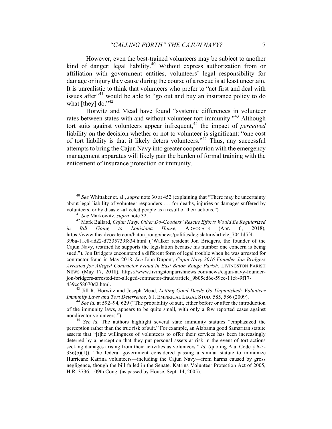However, even the best-trained volunteers may be subject to another kind of danger: legal liability.<sup>40</sup> Without express authorization from or affiliation with government entities, volunteers' legal responsibility for damage or injury they cause during the course of a rescue is at least uncertain. It is unrealistic to think that volunteers who prefer to "act first and deal with issues after $14$ <sup>1</sup> would be able to "go out and buy an insurance policy to do what [they] do." $42$ 

Horwitz and Mead have found "systemic differences in volunteer rates between states with and without volunteer tort immunity."<sup>43</sup> Although tort suits against volunteers appear infrequent,<sup>44</sup> the impact of *perceived* liability on the decision whether or not to volunteer is significant: "one cost of tort liability is that it likely deters volunteers."<sup>45</sup> Thus, any successful attempts to bring the Cajun Navy into greater cooperation with the emergency management apparatus will likely pair the burden of formal training with the enticement of insurance protection or immunity.

 <sup>40</sup> *See* Whittaker et. al., *supra* note 30 at 452 (explaining that "There may be uncertainty about legal liability of volunteer responders . . . for deaths, injuries or damages suffered by volunteers, or by disaster-affected people as a result of their actions.")<br><sup>41</sup> *See* Markowitz, *supra* note 32.<br><sup>42</sup> Mark Ballard, *Cajun Navy, Other Do-Gooders' Rescue Efforts Would Be Regularized* 

*in Bill Going to Louisiana House*, ADVOCATE (Apr. 6, 2018), https://www.theadvocate.com/baton\_rouge/news/politics/legislature/article\_7041d5f4-39ba-11e8-ad22-d7335739f834.html ("Walker resident Jon Bridgers, the founder of the Cajun Navy, testified he supports the legislation because his number one concern is being sued."). Jon Bridgers encountered a different form of legal trouble when he was arrested for contractor fraud in May 2018. *See* John Dupont, *Cajun Navy 2016 Founder Jon Bridgers Arrested for Alleged Contractor Fraud in East Baton Rouge Parish*, LIVINGSTON PARISH NEWS (May 17, 2018), https://www.livingstonparishnews.com/news/cajun-navy-founderjon-bridgers-arrested-for-alleged-contractor-fraud/article\_9b05ed6c-59ee-11e8-9f17-

<sup>439</sup>cc58070d2.html.<br><sup>43</sup> Jill R. Horwitz and Joseph Mead, *Letting Good Deeds Go Unpunished: Volunteer*<br>*Immunity Laws and Tort Deterrence*, 6 J. EMPIRICAL LEGAL STUD. 585, 586 (2009).

<sup>&</sup>lt;sup>44</sup> See id. at 592–94, 629 ("The probability of suit, either before or after the introduction of the immunity laws, appears to be quite small, with only a few reported cases against nondirector volunteers."). <sup>45</sup> *See id.* The authors highlight several state immunity statutes "emphasized the

perception rather than the true risk of suit." For example, an Alabama good Samaritan statute asserts that "[t]he willingness of volunteers to offer their services has been increasingly deterred by a perception that they put personal assets at risk in the event of tort actions seeking damages arising from their activities as volunteers." *Id.* (quoting Ala. Code  $\S$  6-5- $336(b)(1)$ ). The federal government considered passing a similar statute to immunize Hurricane Katrina volunteers—including the Cajun Navy—from harms caused by gross negligence, though the bill failed in the Senate. Katrina Volunteer Protection Act of 2005, H.R. 3736, 109th Cong. (as passed by House, Sept. 14, 2005).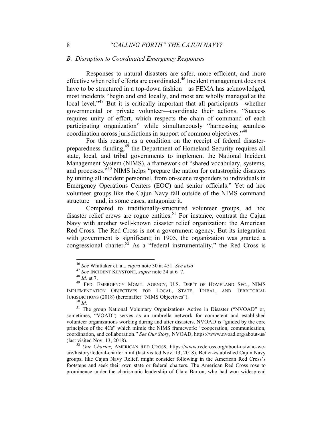#### *B. Disruption to Coordinated Emergency Responses*

Responses to natural disasters are safer, more efficient, and more effective when relief efforts are coordinated.46 Incident management does not have to be structured in a top-down fashion—as FEMA has acknowledged, most incidents "begin and end locally, and most are wholly managed at the local level."<sup>47</sup> But it is critically important that all participants—whether governmental or private volunteer—coordinate their actions. "Success requires unity of effort, which respects the chain of command of each participating organization" while simultaneously "harnessing seamless coordination across jurisdictions in support of common objectives."<sup>48</sup>

For this reason, as a condition on the receipt of federal disasterpreparedness funding,<sup>49</sup> the Department of Homeland Security requires all state, local, and tribal governments to implement the National Incident Management System (NIMS), a framework of "shared vocabulary, systems, and processes."<sup>50</sup> NIMS helps "prepare the nation for catastrophic disasters" by uniting all incident personnel, from on-scene responders to individuals in Emergency Operations Centers (EOC) and senior officials." Yet ad hoc volunteer groups like the Cajun Navy fall outside of the NIMS command structure—and, in some cases, antagonize it.

Compared to traditionally-structured volunteer groups, ad hoc disaster relief crews are rogue entities.<sup>51</sup> For instance, contrast the Cajun Navy with another well-known disaster relief organization: the American Red Cross. The Red Cross is not a government agency. But its integration with government is significant; in 1905, the organization was granted a congressional charter.<sup>52</sup> As a "federal instrumentality," the Red Cross is

<sup>&</sup>lt;sup>46</sup> See Whittaker et. al., *supra* note 30 at 451. See also<br><sup>47</sup> See INCIDENT KEYSTONE, *supra* note 24 at 6–7.<br><sup>48</sup> Id. at 7.<br><sup>49</sup> FED. EMERGENCY MGMT. AGENCY, U.S. DEP'T OF HOMELAND SEC., NIMS IMPLEMENTATION OBJECTIVES FOR LOCAL, STATE, TRIBAL, AND TERRITORIAL

JURISDICTIONS (2018) (hereinafter "NIMS Objectives").<br><sup>50</sup> *Id.* 51 The group National Voluntary Organizations Active in Disaster ("NVOAD" or, sometimes, "VOAD") serves as an umbrella network for competent and established volunteer organizations working during and after disasters. NVOAD is "guided by the core principles of the 4Cs" which mimic the NIMS framework: "cooperation, communication, coordination, and collaboration." *See Our Story*, NVOAD, https://www.nvoad.org/about-us/ (last visited Nov. 13, 2018). <sup>52</sup> *Our Charter*, AMERICAN RED CROSS, https://www.redcross.org/about-us/who-we-

are/history/federal-charter.html (last visited Nov. 13, 2018). Better-established Cajun Navy groups, like Cajun Navy Relief, might consider following in the American Red Cross's footsteps and seek their own state or federal charters. The American Red Cross rose to prominence under the charismatic leadership of Clara Barton, who had won widespread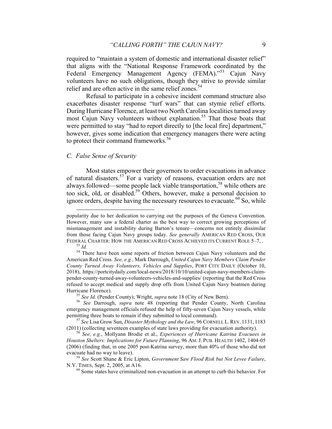required to "maintain a system of domestic and international disaster relief" that aligns with the "National Response Framework coordinated by the Federal Emergency Management Agency (FEMA)."<sup>53</sup> Cajun Navy volunteers have no such obligations, though they strive to provide similar relief and are often active in the same relief zones.<sup>54</sup>

Refusal to participate in a cohesive incident command structure also exacerbates disaster response "turf wars" that can stymie relief efforts. During Hurricane Florence, at least two North Carolina localities turned away most Cajun Navy volunteers without explanation.<sup>55</sup> That those boats that were permitted to stay "had to report directly to [the local fire] department," however, gives some indication that emergency managers there were acting to protect their command frameworks.<sup>56</sup>

#### *C. False Sense of Security*

Most states empower their governors to order evacuations in advance of natural disasters.<sup>57</sup> For a variety of reasons, evacuation orders are not always followed—some people lack viable transportation,<sup>58</sup> while others are too sick, old, or disabled.59 Others, however, make a personal decision to ignore orders, despite having the necessary resources to evacuate.<sup>60</sup> So, while

popularity due to her dedication to carrying out the purposes of the Geneva Convention. However, many saw a federal charter as the best way to correct growing perceptions of mismanagement and instability during Barton's tenure—concerns not entirely dissimilar from those facing Cajun Navy groups today. *See generally* AMERICAN RED CROSS, OUR FEDERAL CHARTER: HOW THE AMERICAN RED CROSS ACHIEVED ITS CURRENT ROLE 5–7, .<br><sup>53</sup> *Id.* <sup>54</sup> There have been some reports of friction between Cajun Navy volunteers and the

American Red Cross. *See, e.g.*, Mark Darrough, *United Cajun Navy Members Claim Pender County Turned Away Volunteers, Vehicles and Supplies*, PORT CITY DAILY (October 10, 2018), https://portcitydaily.com/local-news/2018/10/10/united-cajun-navy-members-claimpender-county-turned-away-volunteers-vehicles-and-supplies/ (reporting that the Red Cross refused to accept medical and supply drop offs from United Cajun Navy boatmen during

Hurricane Florence). <sup>55</sup> *See Id.* (Pender County); Wright, *supra* note 18 (City of New Bern). <sup>56</sup> *See* Darrough, *supra* note 48 (reporting that Pender County, North Carolina emergency management officials refused the help of fifty-seven Cajun Navy vessels, while

permitting three boats to remain if they submitted to local command).<br><sup>57</sup> *See* Lisa Grow Sun, *Disaster Mythology and the Law*, 96 CORNELL L. REV. 1131, 1183<br>(2011) (collecting seventeen examples of state laws providing

<sup>&</sup>lt;sup>58</sup> See, e.g., Mollyann Brodie et al., *Experiences of Hurricane Katrina Evacuees in Houston Shelters: Implications for Future Planning*, 96 AM. J. PUB. HEALTH 1402, 1404-05 (2006) (finding that, in one 2005 post-Katrina survey, more than 40% of those who did not evacuate had no way to leave). <sup>59</sup> *See* Scott Shane & Eric Lipton, *Government Saw Flood Risk but Not Levee Failure*,

N.Y. TIMES, Sept. 2, 2005, at A16.<br><sup>60</sup> Some states have criminalized non-evacuation in an attempt to curb this behavior. For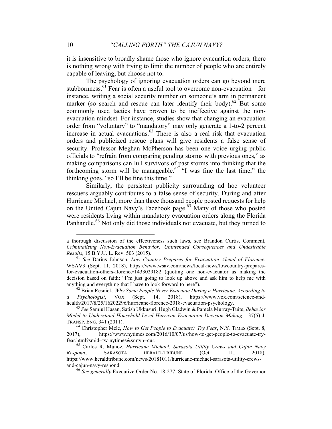it is insensitive to broadly shame those who ignore evacuation orders, there is nothing wrong with trying to limit the number of people who are entirely capable of leaving, but choose not to.

The psychology of ignoring evacuation orders can go beyond mere stubbornness.<sup>61</sup> Fear is often a useful tool to overcome non-evacuation—for instance, writing a social security number on someone's arm in permanent marker (so search and rescue can later identify their body).<sup>62</sup> But some commonly used tactics have proven to be ineffective against the nonevacuation mindset. For instance, studies show that changing an evacuation order from "voluntary" to "mandatory" may only generate a 1-to-2 percent increase in actual evacuations.<sup>63</sup> There is also a real risk that evacuation orders and publicized rescue plans will give residents a false sense of security. Professor Meghan McPherson has been one voice urging public officials to "refrain from comparing pending storms with previous ones," as making comparisons can lull survivors of past storms into thinking that the forthcoming storm will be manageable.<sup>64</sup> "I was fine the last time," the thinking goes, "so I'll be fine this time."

Similarly, the persistent publicity surrounding ad hoc volunteer rescuers arguably contributes to a false sense of security. During and after Hurricane Michael, more than three thousand people posted requests for help on the United Cajun Navy's Facebook page.<sup>65</sup> Many of those who posted were residents living within mandatory evacuation orders along the Florida Panhandle.<sup>66</sup> Not only did those individuals not evacuate, but they turned to

a thorough discussion of the effectiveness such laws, see Brandon Curtis, Comment, *Criminalizing Non-Evacuation Behavior: Unintended Consequences and Undesirable Results*, 15 B.Y.U. L. Rev. 503 (2015). <sup>61</sup> *See* Darius Johnson, *Low Country Prepares for Evacuation Ahead of Florence*,

WSAV3 (Sept. 11, 2018), https://www.wsav.com/news/local-news/lowcountry-preparesfor-evacuation-others-florence/1433029182 (quoting one non-evacuator as making the decision based on faith: "I'm just going to look up above and ask him to help me with anything and everything that I have to look forward to here"). <sup>62</sup> Brian Resnick, *Why Some People Never Evacuate During a Hurricane, According to* 

*a Psychologist*, VOX (Sept. 14, 2018), https://www.vox.com/science-andhealth/2017/8/25/16202296/hurricane-florence-2018-evacuation-psychology. <sup>63</sup> *See* Samiul Hasan, Satish Ukkusuri, Hugh Gladwin & Pamela Murray-Tuite, *Behavior* 

*Model to Understand Household-Level Hurrican Evacuation Decision Making*, 137(5) J. TRANSP. ENG. 341 (2011). <sup>64</sup> Christopher Mele, *How to Get People to Evacuate? Try Fear*, N.Y. TIMES (Sept. 8,

<sup>2017),</sup> https://www.nytimes.com/2016/10/07/us/how-to-get-people-to-evacuate-tryfear.html?smid=tw-nytimes&smtyp=cur. <sup>65</sup> Carlos R. Munoz, *Hurricane Michael: Sarasota Utility Crews and Cajun Navy* 

*Respond*, SARASOTA HERALD-TRIBUNE (Oct. 11, 2018), https://www.heraldtribune.com/news/20181011/hurricane-michael-sarasota-utility-crewsand-cajun-navy-respond. <sup>66</sup> *See generally* Executive Order No. 18-277, State of Florida, Office of the Governor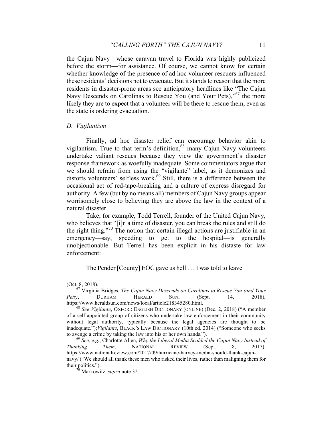the Cajun Navy—whose caravan travel to Florida was highly publicized before the storm—for assistance. Of course, we cannot know for certain whether knowledge of the presence of ad hoc volunteer rescuers influenced these residents' decisions not to evacuate. But it stands to reason that the more residents in disaster-prone areas see anticipatory headlines like "The Cajun Navy Descends on Carolinas to Rescue You (and Your Pets),"<sup>67</sup> the more likely they are to expect that a volunteer will be there to rescue them, even as the state is ordering evacuation.

#### *D. Vigilantism*

Finally, ad hoc disaster relief can encourage behavior akin to vigilantism. True to that term's definition,<sup>68</sup> many Cajun Navy volunteers undertake valiant rescues because they view the government's disaster response framework as woefully inadequate. Some commentators argue that we should refrain from using the "vigilante" label, as it demonizes and distorts volunteers' selfless work.<sup>69</sup> Still, there is a difference between the occasional act of red-tape-breaking and a culture of express disregard for authority. A few (but by no means all) members of Cajun Navy groups appear worrisomely close to believing they are above the law in the context of a natural disaster.

Take, for example, Todd Terrell, founder of the United Cajun Navy, who believes that "[i]n a time of disaster, you can break the rules and still do the right thing."<sup>70</sup> The notion that certain illegal actions are justifiable in an emergency—say, speeding to get to the hospital—is generally unobjectionable. But Terrell has been explicit in his distaste for law enforcement:

The Pender [County] EOC gave us hell . . . I was told to leave

 <sup>(</sup>Oct. 8, 2018). <sup>67</sup> Virginia Bridges, *The Cajun Navy Descends on Carolinas to Rescue You (and Your Pets)*, DURHAM HERALD SUN, (Sept. 14, 2018), https://www.heraldsun.com/news/local/article218345280.html. <sup>68</sup> *See Vigilante*, OXFORD ENGLISH DICTIONARY (ONLINE) (Dec. 2, 2018) ("A member

of a self-appointed group of citizens who undertake law enforcement in their community without legal authority, typically because the legal agencies are thought to be inadequate.");*Vigilante*, BLACK'S LAW DICTIONARY (10th ed. 2014) ("Someone who seeks

to avenge a crime by taking the law into his or her own hands."). <sup>69</sup> *See, e.g.*, Charlotte Allen, *Why the Liberal Media Scolded the Cajun Navy Instead of Thanking Them*, NATIONAL REVIEW (Sept. 8, 2017), https://www.nationalreview.com/2017/09/hurricane-harvey-media-should-thank-cajunnavy/ ("We should all thank these men who risked their lives, rather than maligning them for their politics."). <sup>70</sup> Markowitz, *supra* note 32.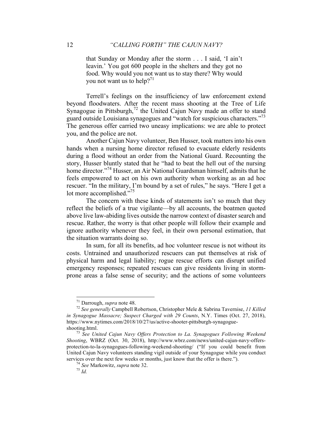that Sunday or Monday after the storm . . . I said, 'I ain't leavin.' You got 600 people in the shelters and they got no food. Why would you not want us to stay there? Why would you not want us to help?<sup>71</sup>

Terrell's feelings on the insufficiency of law enforcement extend beyond floodwaters. After the recent mass shooting at the Tree of Life Synagogue in Pittsburgh, $^{72}$  the United Cajun Navy made an offer to stand guard outside Louisiana synagogues and "watch for suspicious characters."<sup>73</sup> The generous offer carried two uneasy implications: we are able to protect you, and the police are not.

Another Cajun Navy volunteer, Ben Husser, took matters into his own hands when a nursing home director refused to evacuate elderly residents during a flood without an order from the National Guard. Recounting the story, Husser bluntly stated that he "had to beat the hell out of the nursing home director."<sup>74</sup> Husser, an Air National Guardsman himself, admits that he feels empowered to act on his own authority when working as an ad hoc rescuer. "In the military, I'm bound by a set of rules," he says. "Here I get a lot more accomplished."<sup>75</sup>

The concern with these kinds of statements isn't so much that they reflect the beliefs of a true vigilante—by all accounts, the boatmen quoted above live law-abiding lives outside the narrow context of disaster search and rescue. Rather, the worry is that other people will follow their example and ignore authority whenever they feel, in their own personal estimation, that the situation warrants doing so.

In sum, for all its benefits, ad hoc volunteer rescue is not without its costs. Untrained and unauthorized rescuers can put themselves at risk of physical harm and legal liability; rogue rescue efforts can disrupt unified emergency responses; repeated rescues can give residents living in stormprone areas a false sense of security; and the actions of some volunteers

<sup>71</sup> Darrough, *supra* note 48. <sup>72</sup> *See generally* Campbell Robertson, Christopher Mele & Sabrina Tavernise, *11 Killed in Synagogue Massacre; Suspect Charged with 29 Counts*, N.Y. Times (Oct. 27, 2018), https://www.nytimes.com/2018/10/27/us/active-shooter-pittsburgh-synagogueshooting.html. <sup>73</sup> *See United Cajun Navy Offers Protection to La. Synagogues Following Weekend* 

*Shooting*, WBRZ (Oct. 30, 2018), http://www.wbrz.com/news/united-cajun-navy-offersprotection-to-la-synagogues-following-weekend-shooting/ ("If you could benefit from United Cajun Navy volunteers standing vigil outside of your Synagogue while you conduct services over the next few weeks or months, just know that the offer is there."). <sup>74</sup> *See* Markowitz, *supra* note 32. <sup>75</sup> *Id.*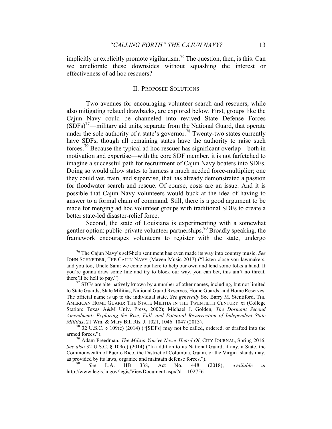implicitly or explicitly promote vigilantism.<sup>76</sup> The question, then, is this: Can we ameliorate these downsides without squashing the interest or effectiveness of ad hoc rescuers?

#### II. PROPOSED SOLUTIONS

Two avenues for encouraging volunteer search and rescuers, while also mitigating related drawbacks, are explored below. First, groups like the Cajun Navy could be channeled into revived State Defense Forces  $(SDFs)<sup>77</sup>$ —military aid units, separate from the National Guard, that operate under the sole authority of a state's governor.<sup>78</sup> Twenty-two states currently have SDFs, though all remaining states have the authority to raise such forces.<sup>79</sup> Because the typical ad hoc rescuer has significant overlap—both in motivation and expertise—with the core SDF member, it is not farfetched to imagine a successful path for recruitment of Cajun Navy boaters into SDFs. Doing so would allow states to harness a much needed force-multiplier; one they could vet, train, and supervise, that has already demonstrated a passion for floodwater search and rescue. Of course, costs are an issue. And it is possible that Cajun Navy volunteers would buck at the idea of having to answer to a formal chain of command. Still, there is a good argument to be made for merging ad hoc volunteer groups with traditional SDFs to create a better state-led disaster-relief force.

Second, the state of Louisiana is experimenting with a somewhat gentler option: public-private volunteer partnerships. <sup>80</sup> Broadly speaking, the framework encourages volunteers to register with the state, undergo

 <sup>76</sup> The Cajun Navy's self-help sentiment has even made its way into country music. *See*  JOHN SCHNEIDER, THE CAJUN NAVY (Maven Music 2017) ("Listen close you lawmakers, and you too, Uncle Sam: we come out here to help our own and lend some folks a hand. If you're gonna draw some line and try to block our way, you can bet, this ain't no threat, there'll be hell to pay.")  $^{77}$  SDFs are alternatively known by a number of other names, including, but not limited

to State Guards, State Militias, National Guard Reserves, Home Guards, and Home Reserves. The official name is up to the individual state. *See generally* See Barry M. Stentiford, THE AMERICAN HOME GUARD: THE STATE MILITIA IN THE TWENTIETH CENTURY xi (College Station: Texas A&M Univ. Press, 2002); Michael J. Golden, *The Dormant Second Amendment: Exploring the Rise, Fall, and Potential Resurrection of Independent State* 

*Militias*, 21 Wm. & Mary Bill Rts. J. 1021, 1046–1047 (2013).<br><sup>78</sup> 32 U.S.C. § 109(c) (2014) ("[SDFs] may not be called, ordered, or drafted into the armed forces.").

<sup>&</sup>lt;sup>79</sup> Adam Freedman, *The Militia You've Never Heard Of*, CITY JOURNAL, Spring 2016. *See also* 32 U.S.C. § 109(c) (2014) ("In addition to its National Guard, if any, a State, the Commonwealth of Puerto Rico, the District of Columbia, Guam, or the Virgin Islands may, as provided by its laws, organize and maintain defense forces."). 80 *See* L.A. HB 338, Act No. 448 (2018), *available at*

http://www.legis.la.gov/legis/ViewDocument.aspx?d=1102756.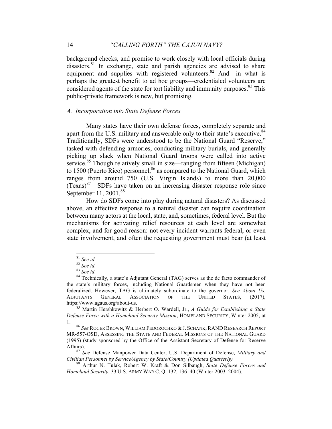background checks, and promise to work closely with local officials during disasters.<sup>81</sup> In exchange, state and parish agencies are advised to share equipment and supplies with registered volunteers.<sup>82</sup> And—in what is perhaps the greatest benefit to ad hoc groups—credentialed volunteers are considered agents of the state for tort liability and immunity purposes.<sup>83</sup> This public-private framework is new, but promising.

#### *A. Incorporation into State Defense Forces*

Many states have their own defense forces, completely separate and apart from the U.S. military and answerable only to their state's executive. $84$ Traditionally, SDFs were understood to be the National Guard "Reserve," tasked with defending armories, conducting military burials, and generally picking up slack when National Guard troops were called into active service.<sup>85</sup> Though relatively small in size—ranging from fifteen (Michigan) to 1500 (Puerto Rico) personnel, <sup>86</sup> as compared to the National Guard, which ranges from around 750 (U.S. Virgin Islands) to more than 20,000  $(Texas)^{87}$ —SDFs have taken on an increasing disaster response role since September 11, 2001.<sup>88</sup>

How do SDFs come into play during natural disasters? As discussed above, an effective response to a natural disaster can require coordination between many actors at the local, state, and, sometimes, federal level. But the mechanisms for activating relief resources at each level are somewhat complex, and for good reason: not every incident warrants federal, or even state involvement, and often the requesting government must bear (at least

<sup>&</sup>lt;sup>81</sup> *See id.* <sup>82</sup> *See id.* 83<br><sup>82</sup> *See id.* 83 *See id.* 84 Technically, a state's Adjutant General (TAG) serves as the de facto commander of the state's military forces, including National Guardsmen when they have not been federalized. However, TAG is ultimately subordinate to the governor. *See About Us*, ADJUTANTS GENERAL ASSOCIATION OF THE UNITED STATES, (2017), https://www.agaus.org/about-us. <sup>85</sup> Martin Hershkowitz & Herbert O. Wardell, Jr., *A Guide for Establishing a State* 

*Defense Force with a Homeland Security Mission*, HOMELAND SECURITY, Winter 2005, at

<sup>1.</sup> <sup>86</sup> *See* ROGER BROWN, WILLIAM FEDOROCHKO & J. SCHANK, RAND RESEARCH REPORT MR-557-OSD, ASSESSING THE STATE AND FEDERAL MISSIONS OF THE NATIONAL GUARD (1995) (study sponsored by the Office of the Assistant Secretary of Defense for Reserve Affairs). <sup>87</sup> *See* Defense Manpower Data Center, U.S. Department of Defense, *Military and* 

*Civilian Personnel by Service/Agency by State/Country (Updated Quarterly)* <sup>88</sup> Arthur N. Tulak, Robert W. Kraft & Don Silbaugh, *State Defense Forces and* 

*Homeland Security*, 33 U.S. ARMY WAR C. Q. 132, 136–40 (Winter 2003–2004).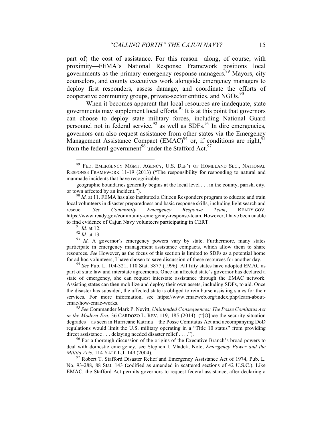part of) the cost of assistance. For this reason—along, of course, with proximity—FEMA's National Response Framework positions local governments as the primary emergency response managers.<sup>89</sup> Mayors, city counselors, and county executives work alongside emergency managers to deploy first responders, assess damage, and coordinate the efforts of cooperative community groups, private-sector entities, and NGOs.<sup>90</sup>

When it becomes apparent that local resources are inadequate, state governments may supplement local efforts.<sup>91</sup> It is at this point that governors can choose to deploy state military forces, including National Guard personnel not in federal service,  $92$  as well as SDFs.  $93$  In dire emergencies, governors can also request assistance from other states via the Emergency Management Assistance Compact  $(EMAC)^{94}$  or, if conditions are right,  $^{95}$ from the federal government<sup>96</sup> under the Stafford Act.<sup>97</sup>

 <sup>89</sup> FED. EMERGENCY MGMT. AGENCY, U.S. DEP'T OF HOMELAND SEC., NATIONAL RESPONSE FRAMEWORK 11-19 (2013) ("The responsibility for responding to natural and manmade incidents that have recognizable

geographic boundaries generally begins at the local level . . . in the county, parish, city, or town affected by an incident.").<br><sup>90</sup> *Id.* at 11. FEMA has also instituted a Citizen Responders program to educate and train

local volunteers in disaster preparedness and basic response skills, including light search and rescue. *See Community Emergency Response Team*, READY.GOV, https://www.ready.gov/community-emergency-response-team. However, I have been unable to find evidence of Cajun Navy volunteers participating in CERT.<br><sup>91</sup> *Id.* at 12.<br><sup>92</sup> *Id.* at 13.<br><sup>93</sup> *Id.* A governor's emergency powers vary by state. Furthermore, many states

participate in emergency management assistance compacts, which allow them to share resources. *See* However, as the focus of this section is limited to SDFs as a potential home for ad hoc volunteers, I have chosen to save discussion of these resources for another day. <sup>94</sup> *See* Pub. L. 104-321, 110 Stat. 3877 (1996). All fifty states have adopted EMAC as

part of state law and interstate agreements. Once an affected state's governor has declared a state of emergency, she can request interstate assistance through the EMAC network. Assisting states can then mobilize and deploy their own assets, including SDFs, to aid. Once the disaster has subsided, the affected state is obliged to reimburse assisting states for their services. For more information, see https://www.emacweb.org/index.php/learn-aboutemac/how-emac-works. <sup>95</sup> *See* Commander Mark P. Nevitt, *Unintended Consequences: The Posse Comitatus Act* 

*in the Modern Era*, 36 CARDOZO L. REV. 119, 185 (2014). ("[O]nce the security situation degrades—as seen in Hurricane Katrina—the Posse Comitatus Act and accompanying DoD regulations would limit the U.S. military operating in a "Title 10 status" from providing direct assistance ... delaying needed disaster relief ....").

 $\frac{96}{96}$  For a thorough discussion of the origins of the Executive Branch's broad powers to deal with domestic emergency, see Stephen I. Vladek, Note, *Emergency Power and the Militia Acts*, 114 YALE L.J. 149 (2004).<br><sup>97</sup> Robert T. Stafford Disaster Relief and Emergency Assistance Act of 1974, Pub. L.

No. 93-288, 88 Stat. 143 (codified as amended in scattered sections of 42 U.S.C.). Like EMAC, the Stafford Act permits governors to request federal assistance, after declaring a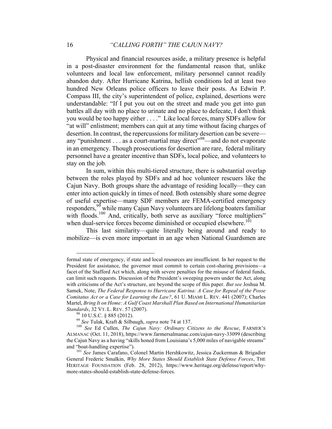Physical and financial resources aside, a military presence is helpful in a post-disaster environment for the fundamental reason that, unlike volunteers and local law enforcement, military personnel cannot readily abandon duty. After Hurricane Katrina, hellish conditions led at least two hundred New Orleans police officers to leave their posts. As Edwin P. Compass III, the city's superintendent of police, explained, desertions were understandable: "If I put you out on the street and made you get into gun battles all day with no place to urinate and no place to defecate, I don't think you would be too happy either . . . ." Like local forces, many SDFs allow for "at will" enlistment; members can quit at any time without facing charges of desertion. In contrast, the repercussions for military desertion can be severe any "punishment . . . as a court-martial may direct"<sup>98</sup>—and do not evaporate in an emergency. Though prosecutions for desertion are rare, federal military personnel have a greater incentive than SDFs, local police, and volunteers to stay on the job.

In sum, within this multi-tiered structure, there is substantial overlap between the roles played by SDFs and ad hoc volunteer rescuers like the Cajun Navy. Both groups share the advantage of residing locally—they can enter into action quickly in times of need. Both ostensibly share some degree of useful expertise—many SDF members are FEMA-certified emergency responders,<sup>99</sup> while many Cajun Navy volunteers are lifelong boaters familiar with floods.<sup>100</sup> And, critically, both serve as auxiliary "force multipliers" when dual-service forces become diminished or occupied elsewhere.<sup>101</sup>

This last similarity—quite literally being around and ready to mobilize—is even more important in an age when National Guardsmen are

1

formal state of emergency, if state and local resources are insufficient. In her request to the President for assistance, the governor must commit to certain cost-sharing provisions—a facet of the Stafford Act which, along with severe penalties for the misuse of federal funds, can limit such requests. Discussion of the President's sweeping powers under the Act, along with criticisms of the Act's structure, are beyond the scope of this paper. *But see* Joshua M. Samek, Note, *The Federal Response to Hurricane Katrina: A Case for Repeal of the Posse Comitatus Act or a Case for Learning the Law?*, 61 U. MIAMI L. REV. 441 (2007); Charles Martel, *Bring It on Home: A Gulf Coast Marshall Plan Based on International Humanitarian* 

Standards, 32 VT. L. REV. 57 (2007).<br><sup>98</sup> 10 U.S.C. § 885 (2012).<br><sup>99</sup> See Tulak, Kraft & Silbaugh, *supra* note 74 at 137.<br><sup>99</sup> See Tulak, Kraft & Silbaugh, *supra* note 74 at 137.<br><sup>99</sup> See Ed Cullen, *The Cajun Navy: Or* ALMANAC (Oct. 11, 2018), https://www.farmersalmanac.com/cajun-navy-33099 (describing the Cajun Navy as a having "skills honed from Louisiana's 5,000 miles of navigable streams" and "boat-handling expertise"). <sup>101</sup> *See* James Carafano, Colonel Martin Hershkowitz, Jessica Zuckerman & Brigadier

General Frederic Smalkin, *Why More States Should Establish State Defense Forces*, THE HERITAGE FOUNDATION (Feb. 28, 2012), https://www.heritage.org/defense/report/whymore-states-should-establish-state-defense-forces.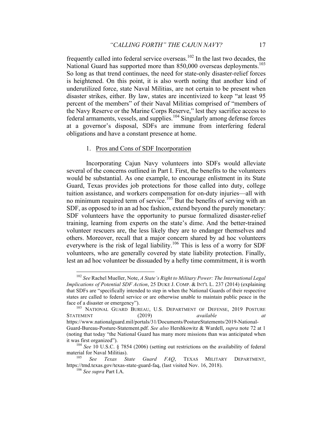frequently called into federal service overseas.<sup>102</sup> In the last two decades, the National Guard has supported more than 850,000 overseas deployments.<sup>103</sup> So long as that trend continues, the need for state-only disaster-relief forces is heightened. On this point, it is also worth noting that another kind of underutilized force, state Naval Militias, are not certain to be present when disaster strikes, either. By law, states are incentivized to keep "at least 95 percent of the members" of their Naval Militias comprised of "members of the Navy Reserve or the Marine Corps Reserve," lest they sacrifice access to federal armaments, vessels, and supplies.<sup>104</sup> Singularly among defense forces at a governor's disposal, SDFs are immune from interfering federal obligations and have a constant presence at home.

#### 1. Pros and Cons of SDF Incorporation

Incorporating Cajun Navy volunteers into SDFs would alleviate several of the concerns outlined in Part I. First, the benefits to the volunteers would be substantial. As one example, to encourage enlistment in its State Guard, Texas provides job protections for those called into duty, college tuition assistance, and workers compensation for on-duty injuries—all with no minimum required term of service.<sup>105</sup> But the benefits of serving with an SDF, as opposed to in an ad hoc fashion, extend beyond the purely monetary: SDF volunteers have the opportunity to pursue formalized disaster-relief training, learning from experts on the state's dime. And the better-trained volunteer rescuers are, the less likely they are to endanger themselves and others. Moreover, recall that a major concern shared by ad hoc volunteers everywhere is the risk of legal liability.<sup>106</sup> This is less of a worry for SDF volunteers, who are generally covered by state liability protection. Finally, lest an ad hoc volunteer be dissuaded by a hefty time commitment, it is worth

 <sup>102</sup> *See* Rachel Mueller, Note, *A State's Right to Military Power: The International Legal Implications of Potential SDF Action*, 25 DUKE J. COMP. & INT'L L. 237 (2014) (explaining that SDFs are "specifically intended to step in when the National Guards of their respective states are called to federal service or are otherwise unable to maintain public peace in the face of a disaster or emergency").<br><sup>103</sup> NATIONAL GUARD BUREAU, U.S. DEPARTMENT OF DEFENSE, 2019 POSTURE

STATEMENT (2019) *available at* https://www.nationalguard.mil/portals/31/Documents/PostureStatements/2019-National-Guard-Bureau-Posture-Statement.pdf. *See also* Hershkowitz & Wardell, *supra* note 72 at 1 (noting that today "the National Guard has many more missions than was anticipated when

it was first organized"). <sup>104</sup> *See* 10 U.S.C. § 7854 (2006) (setting out restrictions on the availability of federal material for Naval Militias).<br><sup>105</sup> *See Texas State Guard FAO*, TEXAS MILITARY DEPARTMENT,

https://tmd.texas.gov/texas-state-guard-faq, (last visited Nov. 16, 2018). <sup>106</sup> *See supra* Part I.A.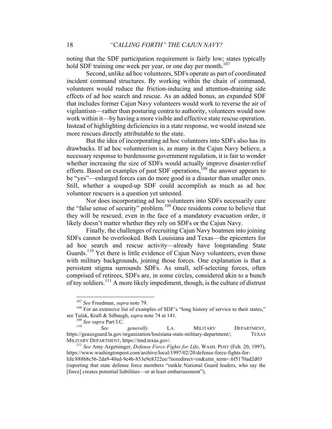noting that the SDF participation requirement is fairly low; states typically hold SDF training one week per year, or one day per month.<sup>107</sup>

Second, unlike ad hoc volunteers, SDFs operate as part of coordinated incident command structures. By working within the chain of command, volunteers would reduce the friction-inducing and attention-draining side effects of ad hoc search and rescue. As an added bonus, an expanded SDF that includes former Cajun Navy volunteers would work to reverse the air of vigilantism—rather than posturing contra to authority, volunteers would now work within it—by having a more visible and effective state rescue operation. Instead of highlighting deficiencies in a state response, we would instead see more rescues directly attributable to the state.

But the idea of incorporating ad hoc volunteers into SDFs also has its drawbacks. If ad hoc volunteerism is, as many in the Cajun Navy believe, a necessary response to burdensome government regulation, it is fair to wonder whether increasing the size of SDFs would actually improve disaster-relief efforts. Based on examples of past SDF operations,<sup>108</sup> the answer appears to be "yes"—enlarged forces can do more good in a disaster than smaller ones. Still, whether a souped-up SDF could accomplish as much as ad hoc volunteer rescuers is a question yet untested.

Nor does incorporating ad hoc volunteers into SDFs necessarily cure the "false sense of security" problem.<sup>109</sup> Once residents come to believe that they will be rescued, even in the face of a mandatory evacuation order, it likely doesn't matter whether they rely on SDFs or the Cajun Navy.

Finally, the challenges of recruiting Cajun Navy boatmen into joining SDFs cannot be overlooked. Both Louisiana and Texas—the epicenters for ad hoc search and rescue activity—already have longstanding State Guards.<sup>110</sup> Yet there is little evidence of Cajun Navy volunteers, even those with military backgrounds, joining those forces. One explanation is that a persistent stigma surrounds SDFs. As small, self-selecting forces, often comprised of retirees, SDFs are, in some circles, considered akin to a bunch of toy soldiers.<sup>111</sup> A more likely impediment, though, is the culture of distrust

<sup>&</sup>lt;sup>107</sup> *See* Freedman, *supra* note 79.<br><sup>108</sup> For an extensive list of examples of SDF's "long history of service to their states," see Tulak, Kraft & Silbaugh, *supra* note 74 at 141.<br>
<sup>109</sup> *See supra* Part I.C. *See generally* LA. MILITARY DEPARTMENT,

https://geauxguard.la.gov/organization/louisiana-state-military-department/; TEXAS MILITARY DEPARTMENT, https://tmd.texas.gov/. <sup>111</sup> *See* Amy Argetsinger, *Defense Force Fights for Life*, WASH. POST (Feb. 20, 1997),

https://www.washingtonpost.com/archive/local/1997/02/20/defense-force-fights-forlife/888b8c56-2da9-40ed-9e4b-853e9e8322ee/?noredirect=on&utm\_term=.6f5170ad2d03 (reporting that state defense force members "rankle National Guard leaders, who say the [force] creates potential liabilities—or at least embarrassment").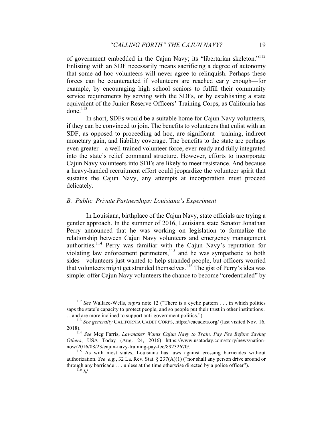of government embedded in the Cajun Navy; its "libertarian skeleton."<sup>112</sup> Enlisting with an SDF necessarily means sacrificing a degree of autonomy that some ad hoc volunteers will never agree to relinquish. Perhaps these forces can be counteracted if volunteers are reached early enough—for example, by encouraging high school seniors to fulfill their community service requirements by serving with the SDFs, or by establishing a state equivalent of the Junior Reserve Officers' Training Corps, as California has done. 113

In short, SDFs would be a suitable home for Cajun Navy volunteers, if they can be convinced to join. The benefits to volunteers that enlist with an SDF, as opposed to proceeding ad hoc, are significant—training, indirect monetary gain, and liability coverage. The benefits to the state are perhaps even greater—a well-trained volunteer force, ever-ready and fully integrated into the state's relief command structure. However, efforts to incorporate Cajun Navy volunteers into SDFs are likely to meet resistance. And because a heavy-handed recruitment effort could jeopardize the volunteer spirit that sustains the Cajun Navy, any attempts at incorporation must proceed delicately.

#### *B. Public–Private Partnerships: Louisiana's Experiment*

In Louisiana, birthplace of the Cajun Navy, state officials are trying a gentler approach. In the summer of 2016, Louisiana state Senator Jonathan Perry announced that he was working on legislation to formalize the relationship between Cajun Navy volunteers and emergency management authorities.<sup>114</sup> Perry was familiar with the Cajun Navy's reputation for violating law enforcement perimeters,<sup>115</sup> and he was sympathetic to both sides—volunteers just wanted to help stranded people, but officers worried that volunteers might get stranded themselves.<sup>116</sup> The gist of Perry's idea was simple: offer Cajun Navy volunteers the chance to become "credentialed" by

 <sup>112</sup> *See* Wallace-Wells, *supra* note 12 ("There is a cyclic pattern . . . in which politics saps the state's capacity to protect people, and so people put their trust in other institutions . . . and are more inclined to support anti-government politics.") <sup>113</sup> *See generally* CALIFORNIA CADET CORPS, https://cacadets.org/ (last visited Nov. 16,

<sup>2018).</sup> <sup>114</sup> *See* Meg Farris, *Lawmaker Wants Cajun Navy to Train, Pay Fee Before Saving* 

*Others*, USA Today (Aug. 24, 2016) https://www.usatoday.com/story/news/nationnow/2016/08/23/cajun-navy-training-pay-fee/89232670/.<br><sup>115</sup> As with most states, Louisiana has laws against crossing barricades without

authorization. *See e.g.*, 32 La. Rev. Stat. § 237(A)(1) ("nor shall any person drive around or through any barricade . . . unless at the time otherwise directed by a police officer"). <sup>116</sup> *Id.*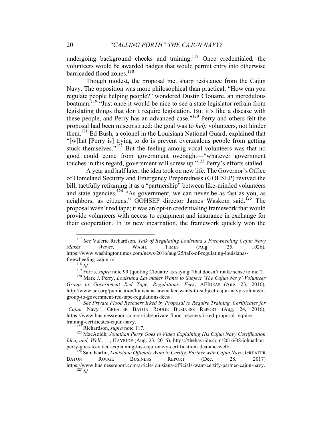undergoing background checks and training.<sup>117</sup> Once credentialed, the volunteers would be awarded badges that would permit entry into otherwise barricaded flood zones.<sup>118</sup>

Though modest, the proposal met sharp resistance from the Cajun Navy. The opposition was more philosophical than practical. "How can you regulate people helping people?" wondered Dustin Clouatre, an incredulous boatman.<sup>119</sup> "Just once it would be nice to see a state legislator refrain from legislating things that don't require legislation. But it's like a disease with these people, and Perry has an advanced case."<sup>120</sup> Perry and others felt the proposal had been misconstrued: the goal was to *help* volunteers, not hinder them.121 Ed Bush, a colonel in the Louisiana National Guard, explained that "[w]hat [Perry is] trying to do is prevent overzealous people from getting stuck themselves."<sup>122</sup> But the feeling among vocal volunteers was that no good could come from government oversight—"whatever government touches in this regard, government will screw up." <sup>123</sup> Perry's efforts stalled.

A year and half later, the idea took on new life. The Governor's Office of Homeland Security and Emergency Preparedness (GOHSEP) revived the bill, tactfully reframing it as a "partnership" between like-minded volunteers and state agencies.<sup>124 "As government, we can never be as fast as you, as</sup> neighbors, as citizens," GOHSEP director James Waskom said.<sup>125</sup> The proposal wasn't red tape; it was an opt-in credentialing framework that would provide volunteers with access to equipment and insurance in exchange for their cooperation. In its new incarnation, the framework quickly won the

 <sup>117</sup> *See* Valerie Richardson, *Talk of Regulating Louisiana's Freewheeling Cajun Navy Makes Waves*, WASH. TIMES (Aug. 25, 1026), https://www.washingtontimes.com/news/2016/aug/25/talk-of-regulating-louisianas-

freewheeling-cajun-n/.<br><sup>118</sup> *Id.* <sup>118</sup> Farris, *supra* note 99 (quoting Clouatre as saying "that doesn't make sense to me").<br><sup>120</sup> Mark J. Perry, *Louisiana Lawmaker Wants to Subject 'The Cajun Navy' Volunteer Group to Government Red Tape, Regulations, Fees*, AEIDEAS (Aug. 23, 2016), http://www.aei.org/publication/louisiana-lawmaker-wants-to-subject-cajun-navy-volunteergroup-to-government-red-tape-regulations-fees/. <sup>121</sup> *See Private Flood Rescuers Irked by Proposal to Require Training, Certificates for* 

*<sup>&#</sup>x27;Cajun* Navy*'*, GREATER BATON ROUGE BUSINESS REPORT (Aug. 24, 2016), https://www.businessreport.com/article/private-flood-rescuers-irked-proposal-requiretraining-certificates-cajun-navy.<br><sup>122</sup> Richardson, *supra* note 117.<br><sup>123</sup> MacAoidh, *Jonathan Perry Goes to Video Explaining His Cajun Navy Certification* 

*Idea, and, Well . . .*, HAYRIDE (Aug. 23, 2016), https://thehayride.com/2016/08/johnathanperry-goes-to-video-explaining-his-cajun-navy-certification-idea-and-well/. <sup>124</sup> Sam Karlin, *Louisiana Officials Want to Certify, Partner with Cajun Navy*, GREATER

BATON ROUGE BUSINESS REPORT (Dec. 28, 2017) https://www.businessreport.com/article/louisiana-officials-want-certify-partner-cajun-navy. <sup>125</sup> *Id.*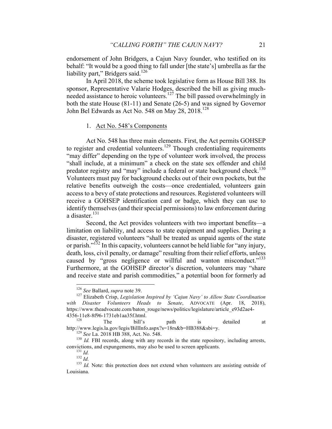endorsement of John Bridgers, a Cajun Navy founder, who testified on its behalf: "It would be a good thing to fall under [the state's] umbrella as far the liability part," Bridgers said. $126$ 

In April 2018, the scheme took legislative form as House Bill 388. Its sponsor, Representative Valarie Hodges, described the bill as giving muchneeded assistance to heroic volunteers.<sup>127</sup> The bill passed overwhelmingly in both the state House (81-11) and Senate (26-5) and was signed by Governor John Bel Edwards as Act No. 548 on May 28,  $2018$ <sup>128</sup>

#### 1. Act No. 548's Components

Act No. 548 has three main elements. First, the Act permits GOHSEP to register and credential volunteers.<sup>129</sup> Though credentialing requirements "may differ" depending on the type of volunteer work involved, the process "shall include, at a minimum" a check on the state sex offender and child predator registry and "may" include a federal or state background check.<sup>130</sup> Volunteers must pay for background checks out of their own pockets, but the relative benefits outweigh the costs—once credentialed, volunteers gain access to a bevy of state protections and resources. Registered volunteers will receive a GOHSEP identification card or badge, which they can use to identify themselves (and their special permissions) to law enforcement during a disaster.<sup>131</sup>

Second, the Act provides volunteers with two important benefits—a limitation on liability, and access to state equipment and supplies. During a disaster, registered volunteers "shall be treated as unpaid agents of the state or parish."132 In this capacity, volunteers cannot be held liable for "any injury, death, loss, civil penalty, or damage" resulting from their relief efforts, unless caused by "gross negligence or willful and wanton misconduct."<sup>133</sup> Furthermore, at the GOHSEP director's discretion, volunteers may "share and receive state and parish commodities," a potential boon for formerly ad

<sup>&</sup>lt;sup>126</sup> *See* Ballard, *supra* note 39.<br><sup>127</sup> Elizabeth Crisp, *Legislation Inspired by 'Cajun Navy' to Allow State Coordination with Disaster Volunteers Heads to Senate*, ADVOCATE (Apr. 18, 2018), https://www.theadvocate.com/baton\_rouge/news/politics/legislature/article\_e93d2ae4-

<sup>4356-11</sup>e8-8f96-1731eb1aa35f.html.<br>
The bill's path is detailed at http://www.legis.la.gov/legis/BillInfo.aspx?s=18rs&b=HB388&sbi=y.

<sup>&</sup>lt;sup>129</sup> See La. 2018 HB 388, Act. No. 548. 130 *Id.* FBI records, along with any records in the state repository, including arrests, convictions, and expungements, may also be used to screen applicants.<br>
<sup>131</sup> *Id.* <sup>132</sup> *Id.* 133 *Id.* Note: this protection does not extend when volunteers are assisting outside of <sup>133</sup> *Id.* Note:

Louisiana.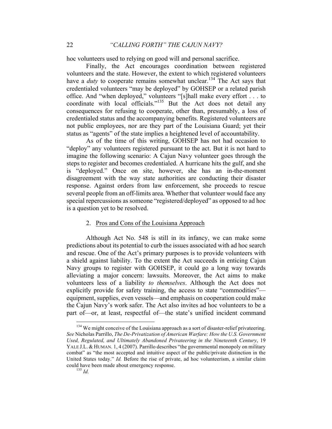hoc volunteers used to relying on good will and personal sacrifice.

Finally, the Act encourages coordination between registered volunteers and the state. However, the extent to which registered volunteers have a *duty* to cooperate remains somewhat unclear.<sup>134</sup> The Act says that credentialed volunteers "may be deployed" by GOHSEP or a related parish office. And "when deployed," volunteers "[s]hall make every effort . . . to coordinate with local officials."<sup>135</sup> But the Act does not detail any consequences for refusing to cooperate, other than, presumably, a loss of credentialed status and the accompanying benefits. Registered volunteers are not public employees, nor are they part of the Louisiana Guard; yet their status as "agents" of the state implies a heightened level of accountability.

As of the time of this writing, GOHSEP has not had occasion to "deploy" any volunteers registered pursuant to the act. But it is not hard to imagine the following scenario: A Cajun Navy volunteer goes through the steps to register and becomes credentialed. A hurricane hits the gulf, and she is "deployed." Once on site, however, she has an in-the-moment disagreement with the way state authorities are conducting their disaster response. Against orders from law enforcement, she proceeds to rescue several people from an off-limits area. Whether that volunteer would face any special repercussions as someone "registered/deployed" as opposed to ad hoc is a question yet to be resolved.

#### 2. Pros and Cons of the Louisiana Approach

Although Act No. 548 is still in its infancy, we can make some predictions about its potential to curb the issues associated with ad hoc search and rescue. One of the Act's primary purposes is to provide volunteers with a shield against liability. To the extent the Act succeeds in enticing Cajun Navy groups to register with GOHSEP, it could go a long way towards alleviating a major concern: lawsuits. Moreover, the Act aims to make volunteers less of a liability *to themselves*. Although the Act does not explicitly provide for safety training, the access to state "commodities" equipment, supplies, even vessels—and emphasis on cooperation could make the Cajun Navy's work safer. The Act also invites ad hoc volunteers to be a part of—or, at least, respectful of—the state's unified incident command

<sup>&</sup>lt;sup>134</sup> We might conceive of the Louisiana approach as a sort of disaster-relief privateering. *See* Nicholas Parrillo, *The De-Privatization of American Warfare: How the U.S. Government Used, Regulated, and Ultimately Abandoned Privateering in the Nineteenth Century*, 19 YALE J.L. & HUMAN. 1, 4 (2007). Parrillo describes "the governmental monopoly on military combat" as "the most accepted and intuitive aspect of the public/private distinction in the United States today." *Id.* Before the rise of private, ad hoc volunteerism, a similar claim could have been made about emergency response. <sup>135</sup> *Id.*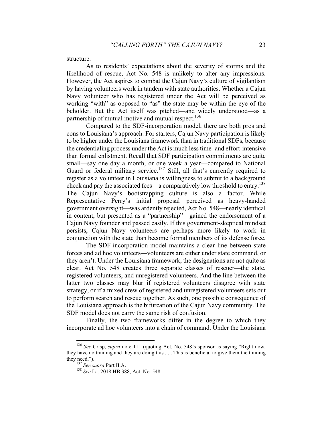structure.

As to residents' expectations about the severity of storms and the likelihood of rescue, Act No. 548 is unlikely to alter any impressions. However, the Act aspires to combat the Cajun Navy's culture of vigilantism by having volunteers work in tandem with state authorities. Whether a Cajun Navy volunteer who has registered under the Act will be perceived as working "with" as opposed to "as" the state may be within the eye of the beholder. But the Act itself was pitched—and widely understood—as a partnership of mutual motive and mutual respect.<sup>136</sup>

Compared to the SDF-incorporation model, there are both pros and cons to Louisiana's approach. For starters, Cajun Navy participation is likely to be higher under the Louisiana framework than in traditional SDFs, because the credentialing process under the Act is much less time- and effort-intensive than formal enlistment. Recall that SDF participation commitments are quite small—say one day a month, or one week a year—compared to National Guard or federal military service.<sup>137</sup> Still, all that's currently required to register as a volunteer in Louisiana is willingness to submit to a background check and pay the associated fees—a comparatively low threshold to entry.<sup>138</sup> The Cajun Navy's bootstrapping culture is also a factor. While Representative Perry's initial proposal—perceived as heavy-handed government oversight—was ardently rejected, Act No. 548—nearly identical in content, but presented as a "partnership"—gained the endorsement of a Cajun Navy founder and passed easily. If this government-skeptical mindset persists, Cajun Navy volunteers are perhaps more likely to work in conjunction with the state than become formal members of its defense force.

The SDF-incorporation model maintains a clear line between state forces and ad hoc volunteers—volunteers are either under state command, or they aren't. Under the Louisiana framework, the designations are not quite as clear. Act No. 548 creates three separate classes of rescuer—the state, registered volunteers, and unregistered volunteers. And the line between the latter two classes may blur if registered volunteers disagree with state strategy, or if a mixed crew of registered and unregistered volunteers sets out to perform search and rescue together. As such, one possible consequence of the Louisiana approach is the bifurcation of the Cajun Navy community. The SDF model does not carry the same risk of confusion.

Finally, the two frameworks differ in the degree to which they incorporate ad hoc volunteers into a chain of command. Under the Louisiana

 <sup>136</sup> *See* Crisp, *supra* note 111 (quoting Act. No. 548's sponsor as saying "Right now, they have no training and they are doing this . . . This is beneficial to give them the training they need."). <sup>137</sup> *See supra* Part II.A. <sup>138</sup> *See* La. 2018 HB 388, Act. No. 548.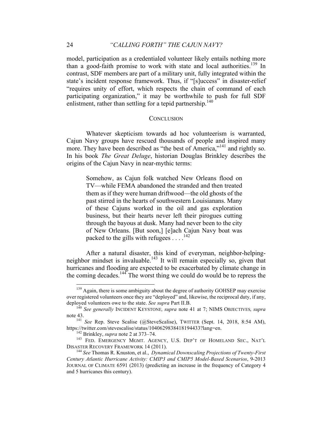model, participation as a credentialed volunteer likely entails nothing more than a good-faith promise to work with state and local authorities.<sup>139</sup> In contrast, SDF members are part of a military unit, fully integrated within the state's incident response framework. Thus, if "[s]uccess" in disaster-relief "requires unity of effort, which respects the chain of command of each participating organization," it may be worthwhile to push for full SDF enlistment, rather than settling for a tepid partnership.<sup>140</sup>

#### **CONCLUSION**

Whatever skepticism towards ad hoc volunteerism is warranted, Cajun Navy groups have rescued thousands of people and inspired many more. They have been described as "the best of America,"<sup>141</sup> and rightly so. In his book *The Great Deluge*, historian Douglas Brinkley describes the origins of the Cajun Navy in near-mythic terms:

Somehow, as Cajun folk watched New Orleans flood on TV—while FEMA abandoned the stranded and then treated them as if they were human driftwood—the old ghosts of the past stirred in the hearts of southwestern Louisianans. Many of these Cajuns worked in the oil and gas exploration business, but their hearts never left their pirogues cutting through the bayous at dusk. Many had never been to the city of New Orleans. [But soon,] [e]ach Cajun Navy boat was packed to the gills with refugees  $\dots$ <sup>142</sup>

After a natural disaster, this kind of everyman, neighbor-helpingneighbor mindset is invaluable.<sup>143</sup> It will remain especially so, given that hurricanes and flooding are expected to be exacerbated by climate change in the coming decades.144 The worst thing we could do would be to repress the

<sup>&</sup>lt;sup>139</sup> Again, there is some ambiguity about the degree of authority GOHSEP may exercise over registered volunteers once they are "deployed" and, likewise, the reciprocal duty, if any, deployed volunteers owe to the state. *See supra* Part II.B. 140 *See generally* INCIDENT KEYSTONE*, supra* note 41 at 7; NIMS OBJECTIVES*, supra*

note 43.<br><sup>141</sup> *See* Rep. Steve Scalise (@SteveScalise), TWITTER (Sept. 14, 2018, 8:54 AM),<br>https://twitter.com/stevescalise/status/1040629838418194433?lang=en.

<sup>&</sup>lt;sup>142</sup> Brinkley, *supra* note 2 at 373–74.<br><sup>143</sup> FED. EMERGENCY MGMT. AGENCY, U.S. DEP'T OF HOMELAND SEC., NAT'L<br>DISASTER RECOVERY FRAMEWORK 14 (2011).

<sup>&</sup>lt;sup>144</sup> See Thomas R. Knuston, et al., *Dynamical Downscaling Projections of Twenty-First Century Atlantic Hurricane Activity: CMIP3 and CMIP5 Model-Based Scenarios*, 9-2013 JOURNAL OF CLIMATE 6591 (2013) (predicting an increase in the frequency of Category 4 and 5 hurricanes this century).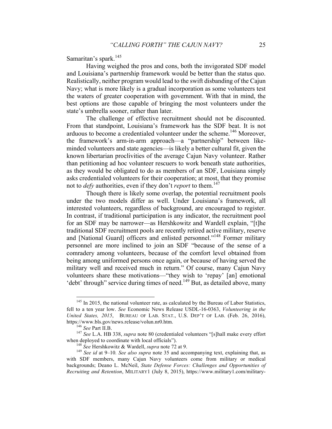Samaritan's spark.<sup>145</sup>

Having weighed the pros and cons, both the invigorated SDF model and Louisiana's partnership framework would be better than the status quo. Realistically, neither program would lead to the swift disbanding of the Cajun Navy; what is more likely is a gradual incorporation as some volunteers test the waters of greater cooperation with government. With that in mind, the best options are those capable of bringing the most volunteers under the state's umbrella sooner, rather than later.

The challenge of effective recruitment should not be discounted. From that standpoint, Louisiana's framework has the SDF beat. It is not arduous to become a credentialed volunteer under the scheme.<sup>146</sup> Moreover, the framework's arm-in-arm approach—a "partnership" between likeminded volunteers and state agencies—is likely a better cultural fit, given the known libertarian proclivities of the average Cajun Navy volunteer. Rather than petitioning ad hoc volunteer rescuers to work beneath state authorities, as they would be obligated to do as members of an SDF, Louisiana simply asks credentialed volunteers for their cooperation; at most, that they promise not to *defy* authorities, even if they don't *report* to them.<sup>147</sup>

Though there is likely some overlap, the potential recruitment pools under the two models differ as well. Under Louisiana's framework, all interested volunteers, regardless of background, are encouraged to register. In contrast, if traditional participation is any indicator, the recruitment pool for an SDF may be narrower—as Hershkowitz and Wardell explain, "[t]he traditional SDF recruitment pools are recently retired active military, reserve and [National Guard] officers and enlisted personnel."<sup>148</sup> Former military personnel are more inclined to join an SDF "because of the sense of a comradery among volunteers, because of the comfort level obtained from being among uniformed persons once again, or because of having served the military well and received much in return." Of course, many Cajun Navy volunteers share these motivations—"they wish to 'repay' [an] emotional 'debt' through'' service during times of need.<sup>149</sup> But, as detailed above, many

<sup>&</sup>lt;sup>145</sup> In 2015, the national volunteer rate, as calculated by the Bureau of Labor Statistics, fell to a ten year low. *See* Economic News Release USDL-16-0363, *Volunteering in the United States, 2015*, BUREAU OF LAB. STAT., U.S. DEP'T OF LAB. (Feb. 26, 2016), https://www.bls.gov/news.release/volun.nr0.htm. <sup>146</sup> *See* Part II.B. <sup>147</sup> *See* L.A. HB 338, *supra* note 80 (credentialed volunteers "[s]hall make every effort

when deployed to coordinate with local officials").<br><sup>148</sup> *See* Hershkowitz & Wardell, *supra* note 72 at 9.<br><sup>149</sup> *See id* at 9–10*. See also supra* note 35 and accompanying text, explaining that, as with SDF members, many Cajun Navy volunteers come from military or medical backgrounds; Deano L. McNeil, *State Defense Forces: Challenges and Opportunities of Recruiting and Retention*, MILITARY1 (July 8, 2015), https://www.military1.com/military-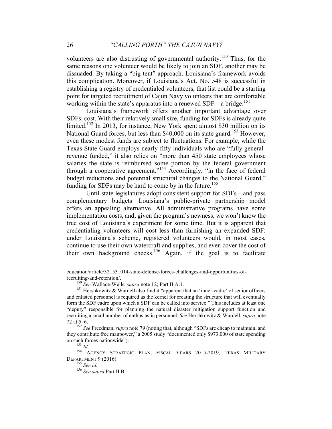volunteers are also distrusting of governmental authority.<sup>150</sup> Thus, for the same reasons one volunteer would be likely to join an SDF, another may be dissuaded. By taking a "big tent" approach, Louisiana's framework avoids this complication. Moreover, if Louisiana's Act. No. 548 is successful in establishing a registry of credentialed volunteers, that list could be a starting point for targeted recruitment of Cajun Navy volunteers that are comfortable working within the state's apparatus into a renewed SDF—a bridge.<sup>151</sup>

Louisiana's framework offers another important advantage over SDFs: cost. With their relatively small size, funding for SDFs is already quite limited.<sup>152</sup> In 2013, for instance, New York spent almost \$30 million on its National Guard forces, but less than \$40,000 on its state guard.<sup>153</sup> However, even these modest funds are subject to fluctuations. For example, while the Texas State Guard employs nearly fifty individuals who are "fully generalrevenue funded," it also relies on "more than 450 state employees whose salaries the state is reimbursed some portion by the federal government through a cooperative agreement."<sup>154</sup> Accordingly, "in the face of federal budget reductions and potential structural changes to the National Guard," funding for SDFs may be hard to come by in the future.<sup>155</sup>

Until state legislatures adopt consistent support for SDFs—and pass complementary budgets—Louisiana's public-private partnership model offers an appealing alternative. All administrative programs have some implementation costs, and, given the program's newness, we won't know the true cost of Louisiana's experiment for some time. But it is apparent that credentialing volunteers will cost less than furnishing an expanded SDF: under Louisiana's scheme, registered volunteers would, in most cases, continue to use their own watercraft and supplies, and even cover the cost of their own background checks.<sup>156</sup> Again, if the goal is to facilitate

education/article/321531014-state-defense-forces-challenges-and-opportunities-ofrecruiting-and-retention/.<br><sup>150</sup> *See* Wallace-Wells, *supra* note 12; Part II.A.1.<br><sup>151</sup> Hershkowitz & Wardell also find it "apparent that an 'inner-cadre' of senior officers

and enlisted personnel is required as the kernel for creating the structure that will eventually form the SDF cadre upon which a SDF can be called into service." This includes at least one "deputy" responsible for planning the natural disaster mitigation support function and recruiting a small number of enthusiastic personnel. *See* Hershkowitz & Wardell, *supra* note 72 at 5–6. <sup>152</sup> *See* Freedman, *supra* note 79 (noting that, although "SDFs are cheap to maintain, and

they contribute free manpower," a 2005 study "documented only \$973,000 of state spending on such forces nationwide").<br><sup>153</sup> *Id.* AGENCY STRATEGIC PLAN, FISCAL YEARS 2015-2019, TEXAS MILITARY

DEPARTMENT 9 (2016). <sup>155</sup> *See id.* <sup>156</sup> *See supra* Part II.B.